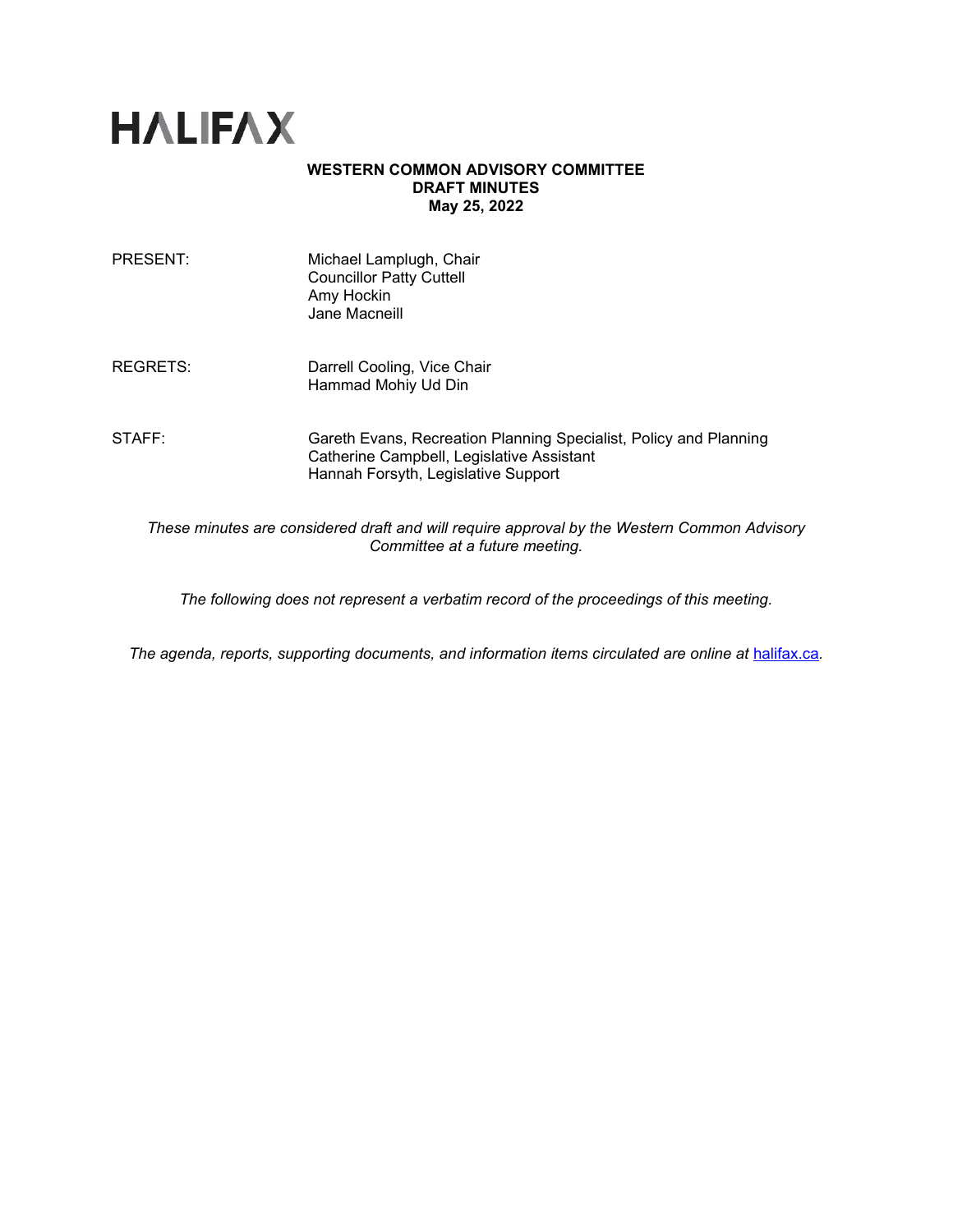

#### **WESTERN COMMON ADVISORY COMMITTEE DRAFT MINUTES May 25, 2022**

| PRESENT: | Michael Lamplugh, Chair<br><b>Councillor Patty Cuttell</b><br>Amy Hockin<br>Jane Macneill                                                             |
|----------|-------------------------------------------------------------------------------------------------------------------------------------------------------|
| REGRETS: | Darrell Cooling, Vice Chair<br>Hammad Mohiy Ud Din                                                                                                    |
| STAFF:   | Gareth Evans, Recreation Planning Specialist, Policy and Planning<br>Catherine Campbell, Legislative Assistant<br>Hannah Forsyth, Legislative Support |
|          |                                                                                                                                                       |

*These minutes are considered draft and will require approval by the Western Common Advisory Committee at a future meeting.* 

*The following does not represent a verbatim record of the proceedings of this meeting.*

The agenda, reports, supporting documents, and information items circulated are online at **[halifax.ca](http://www.halifax.ca/).**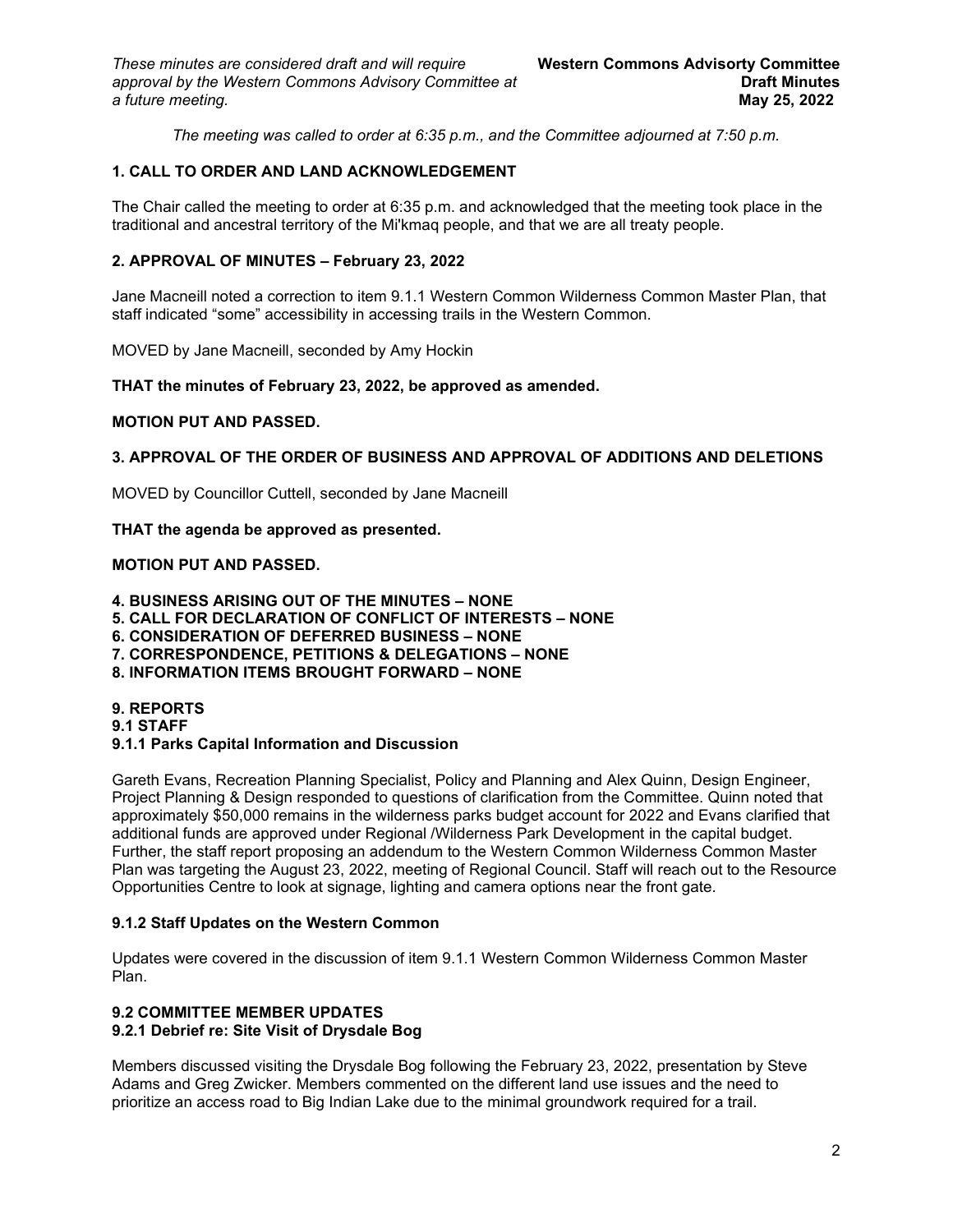*The meeting was called to order at 6:35 p.m., and the Committee adjourned at 7:50 p.m.*

# **1. CALL TO ORDER AND LAND ACKNOWLEDGEMENT**

The Chair called the meeting to order at 6:35 p.m. and acknowledged that the meeting took place in the traditional and ancestral territory of the Mi'kmaq people, and that we are all treaty people.

### **2. APPROVAL OF MINUTES – February 23, 2022**

Jane Macneill noted a correction to item 9.1.1 Western Common Wilderness Common Master Plan, that staff indicated "some" accessibility in accessing trails in the Western Common.

MOVED by Jane Macneill, seconded by Amy Hockin

#### **THAT the minutes of February 23, 2022, be approved as amended.**

#### **MOTION PUT AND PASSED.**

#### **3. APPROVAL OF THE ORDER OF BUSINESS AND APPROVAL OF ADDITIONS AND DELETIONS**

MOVED by Councillor Cuttell, seconded by Jane Macneill

#### **THAT the agenda be approved as presented.**

#### **MOTION PUT AND PASSED.**

**4. BUSINESS ARISING OUT OF THE MINUTES – NONE 5. CALL FOR DECLARATION OF CONFLICT OF INTERESTS – NONE**

- **6. CONSIDERATION OF DEFERRED BUSINESS – NONE**
- **7. CORRESPONDENCE, PETITIONS & DELEGATIONS – NONE**
- **8. INFORMATION ITEMS BROUGHT FORWARD – NONE**

**9. REPORTS 9.1 STAFF 9.1.1 Parks Capital Information and Discussion**

# Gareth Evans, Recreation Planning Specialist, Policy and Planning and Alex Quinn, Design Engineer, Project Planning & Design responded to questions of clarification from the Committee. Quinn noted that approximately \$50,000 remains in the wilderness parks budget account for 2022 and Evans clarified that additional funds are approved under Regional /Wilderness Park Development in the capital budget. Further, the staff report proposing an addendum to the Western Common Wilderness Common Master Plan was targeting the August 23, 2022, meeting of Regional Council. Staff will reach out to the Resource

Opportunities Centre to look at signage, lighting and camera options near the front gate.

# **9.1.2 Staff Updates on the Western Common**

Updates were covered in the discussion of item 9.1.1 Western Common Wilderness Common Master Plan.

#### **9.2 COMMITTEE MEMBER UPDATES 9.2.1 Debrief re: Site Visit of Drysdale Bog**

Members discussed visiting the Drysdale Bog following the February 23, 2022, presentation by Steve Adams and Greg Zwicker. Members commented on the different land use issues and the need to prioritize an access road to Big Indian Lake due to the minimal groundwork required for a trail.